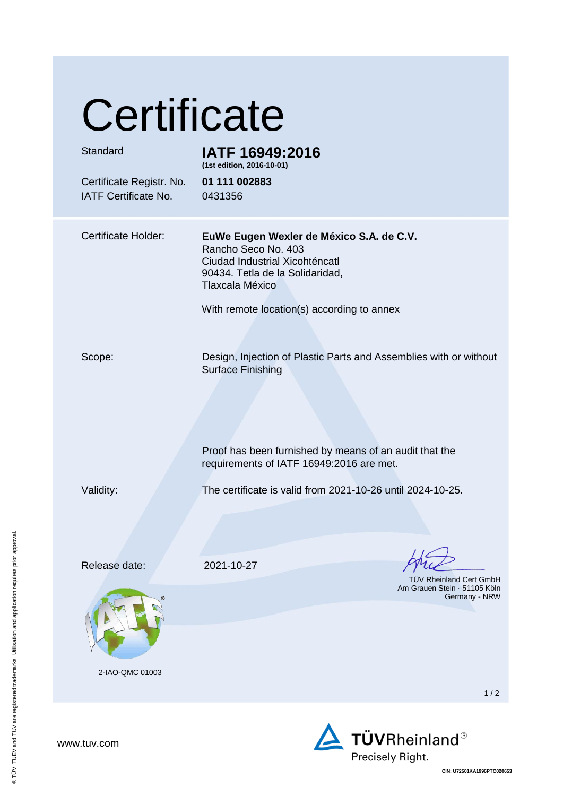# **Certificate**

| Standard<br>Certificate Registr. No.<br><b>IATF Certificate No.</b> | IATF 16949:2016<br>(1st edition, 2016-10-01)<br>01 111 002883<br>0431356                                                                                                                              |
|---------------------------------------------------------------------|-------------------------------------------------------------------------------------------------------------------------------------------------------------------------------------------------------|
| <b>Certificate Holder:</b>                                          | EuWe Eugen Wexler de México S.A. de C.V.<br>Rancho Seco No. 403<br>Ciudad Industrial Xicohténcatl<br>90434. Tetla de la Solidaridad,<br>Tlaxcala México<br>With remote location(s) according to annex |
| Scope:                                                              | Design, Injection of Plastic Parts and Assemblies with or without<br><b>Surface Finishing</b><br>Proof has been furnished by means of an audit that the<br>requirements of IATF 16949:2016 are met.   |
| Validity:                                                           | The certificate is valid from 2021-10-26 until 2024-10-25.                                                                                                                                            |
| Release date:<br>2-IAO-QMC 01003                                    | 2021-10-27<br>TÜV Rheinland Cert GmbH<br>Am Grauen Stein · 51105 Köln<br>Germany - NRW                                                                                                                |
|                                                                     | 1/2                                                                                                                                                                                                   |



www.tuv.com